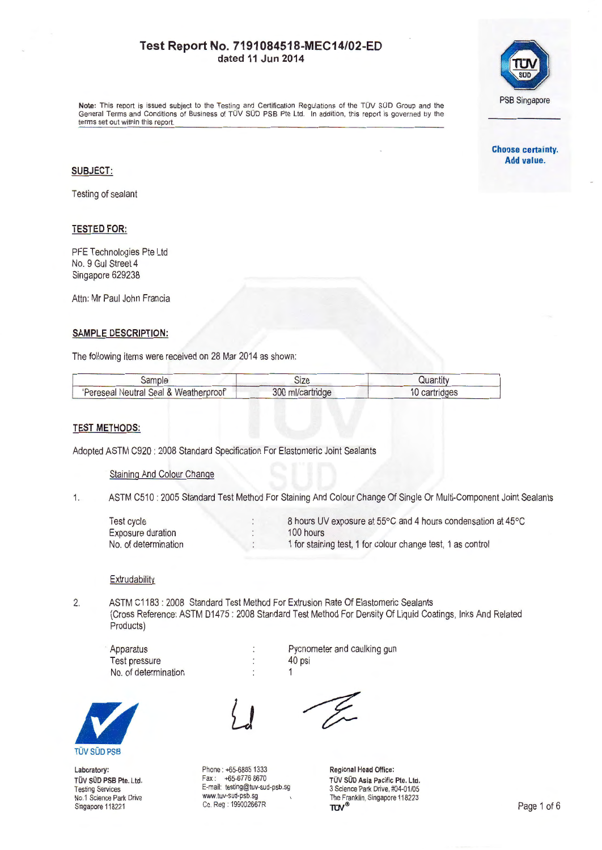

Note: This report is issued subject to the Testing and Certification Regulations of the TOV SOD Group and the General Terms and Conditions of Business of TOV SOD PSB Pte Ltd. In addition , this report is governed by the terms set out within this report.

> **Choose certainty. Add value.**

### **SUBJECT:**

Testing of sealant

### **TESTED FOR:**

PFE Technologies Pte Ltd No. 9 Gul Street 4 Singapore 629238

Attn: Mr Paul John Francia

### **SAMPLE DESCRIPTION:**

The following items were received on 28 Mar 2014 as shown:

| sample                                 | Size             | Quantity      |
|----------------------------------------|------------------|---------------|
| 'Pereseal Neutral Seal & Weatherproof' | 300 ml/cartridge | 10 cartridges |

### **TEST METHODS:**

Adopted ASTM C920: 2008 Standard Specification For Elastomeric Joint Sealants

Staining And Colour Change

1. ASTM C510 : 2005 Standard Test Method For Staining And Colour Change Of Single Or Multi-Component Joint Sealants

| <b>Test cycle</b>    | 8 hours UV exposure at 55°C and 4 hours condensation at 45°C |
|----------------------|--------------------------------------------------------------|
| Exposure duration    | 100 hours                                                    |
| No. of determination | 1 for staining test, 1 for colour change test, 1 as control  |

### **Extrudability**

2. ASTM C1183 : 2008 Standard Test Method For Extrusion Rate Of Elastomeric Sealants (Cross Reference: ASTM 01475 : 2008 Standard Test Method For Density Of Liquid Coatings, Inks And Related Products)

Apparatus Test pressure No. of determination

1



Laboratory: TÜV SÜD PSB Pte. Ltd. Testing Services No.1 Science Park Drive Singapore 118221



 $\ddot{\cdot}$ 

Phone: +65-6885 1333 Fax:  $+65-67768670$ E-mail: testing@tuv-sud-psb .sg www.tuv-sud-psb.sg Co. Reg : 199002667R

40 psi

Pycnometer and caulking gun

Regional Head Office: TÜV SÜD Asia Pacific Pte. Ltd. 3 Science Park Drive, #04-01 /05 The Franklin, Singapore 118223<br>TUV<sup>®</sup>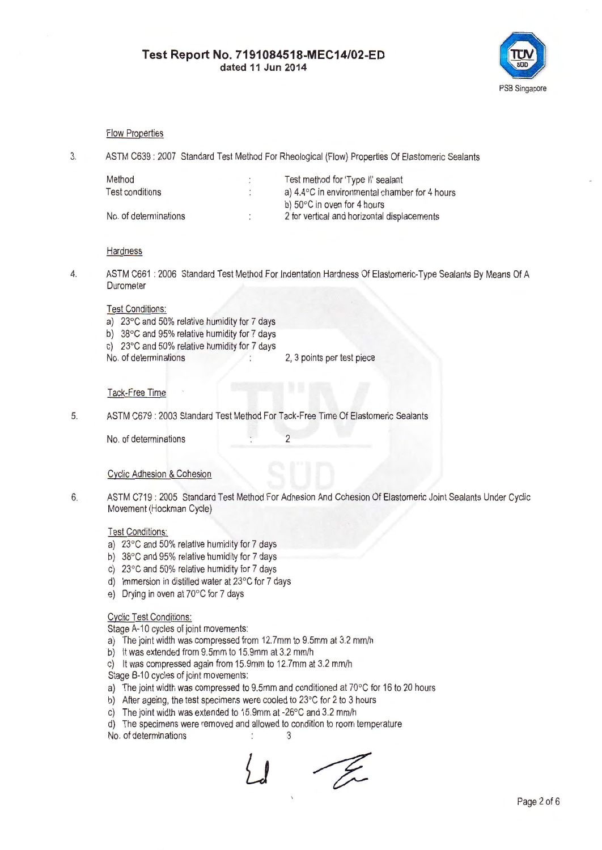

### Flow Properties

3. ASTM C639 : 2007 Standard Test Method For Rheological (Flow) Properties Of Elastomeric Sealants

| Method                 | Test method for 'Type II' sealant                       |  |
|------------------------|---------------------------------------------------------|--|
| <b>Test conditions</b> | a) $4.4^{\circ}$ C in environmental chamber for 4 hours |  |
|                        | b) $50^{\circ}$ C in oven for 4 hours                   |  |
| No. of determinations  | 2 for vertical and horizontal displacements             |  |

#### **Hardness**

4. ASTM C661 : 2006 Standard Test Method For Indentation Hardness Of Elastomeric-Type Sealants By Means Of A **Durometer** 

#### Test Conditions:

- a) 23°C and 50% relative humidity for 7 days
- b) 38°C and 95% relative humidity for 7 days
- c) 23°C and 50% relative humidity for 7 days
- No. of determinations 2, 3 points per test piece

### Tack-Free Time

5. ASTM C679 : 2003 Standard Test Method For Tack-Free Time Of Elastomeric Sealants

No. of determinations 2

### Cyclic Adhesion & Cohesion

6. ASTM C719 : 2005 Standard Test Method For Adhesion And Cohesion Of Elastomeric Joint Sealants Under Cyclic Movement (Hockman Cycle)

## Test Conditions:

- a) 23°C and 50% relative humidity for 7 days
- b) 38°C and 95% relative humidity for 7 days
- c) 23°C and 50% relative humidity for 7 days
- d) Immersion in distilled water at 23°C for 7 days
- e) Drying in oven at 70°C for 7 days

# Cyclic Test Conditions:

Stage A-10 cycles of joint movements:

- a) The joint width was compressed from 12.7mm to 9.5mm at 3.2 mm/h
- b) It was extended from 9.5mm to 15.9mm at 3.2 mm/h
- c) It was compressed again from 15.9mm to 12.7mm at 3.2 mm/h

Stage B-10 cycles of joint movements:

- a) The joint width was compressed to 9.5mm and conditioned at 70°C for 16 to 20 hours
- b) After ageing, the test specimens were cooled to 23°C for 2 to 3 hours
- c) The joint width was extended to 15.9mm at -26°C and 3.2 mm/h
- d) The specimens were removed and allowed to condition to room temperature<br>No. of determinations  $\cdot$  3
- No. of determinations

- Yn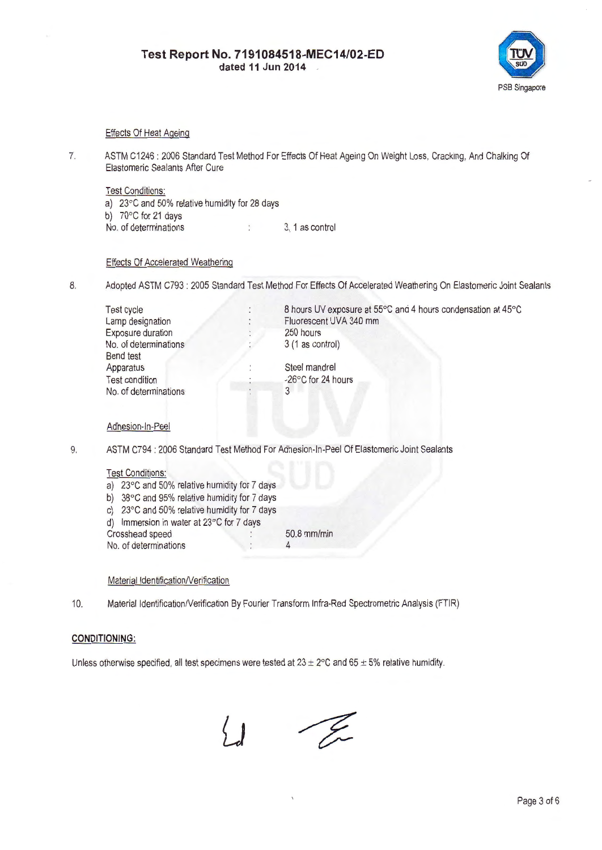

### Effects Of Heat Ageing

7. ASTM C1246 : 2006 Standard Test Method For Effects Of Heat Ageing On Weight Loss, Cracking, And Chalking Of Elastomeric Sealants After Cure

Test Conditions: a) 23°C and 50% relative humidity for 28 days b) 70°C for 21 days No. of determinations 1. 1 as control

### Effects Of Accelerated Weathering

8. Adopted ASTM C793: 2005 Standard Test Method For Effects Of Accelerated Weathering On Elastomeric Joint Sealants

| Test cycle               | 8 hours UV exposure at 55°C and 4 hours condensation at 45°C |
|--------------------------|--------------------------------------------------------------|
| Lamp designation         | Fluorescent UVA 340 mm                                       |
| <b>Exposure duration</b> | 250 hours                                                    |
| No. of determinations    | 3 (1 as control)                                             |
| Bend test                |                                                              |
| Apparatus                | Steel mandrel                                                |
| <b>Test condition</b>    | -26°C for 24 hours                                           |
| No. of determinations    | 3                                                            |
|                          |                                                              |
|                          |                                                              |

### Adhesion-In-Peel

9. ASTM C794 : 2006 Standard Test Method For Adhesion-In-Peel Of Elastomeric Joint Sealants

### Test Conditions:

a) 23°C and 50% relative humidity for 7 days b) 38°C and 95% relative humidity for 7 days c) 23°C and 50% relative humidity for 7 days d) Immersion in water at 23°C for 7 days

Crosshead speed 50.8 mm/min<br>No. of determinations 50.8 mm/min No. of determinations 4

### Material Identification/Verification

10. Material Identification/Verification By Fourier Transform Infra-Red Spectrometric Analysis (FTIR)

### **CONDITIONING:**

Unless otherwise specified, all test specimens were tested at  $23 \pm 2^{\circ}$ C and  $65 \pm 5$ % relative humidity.

 $\frac{1}{\sqrt{2}}$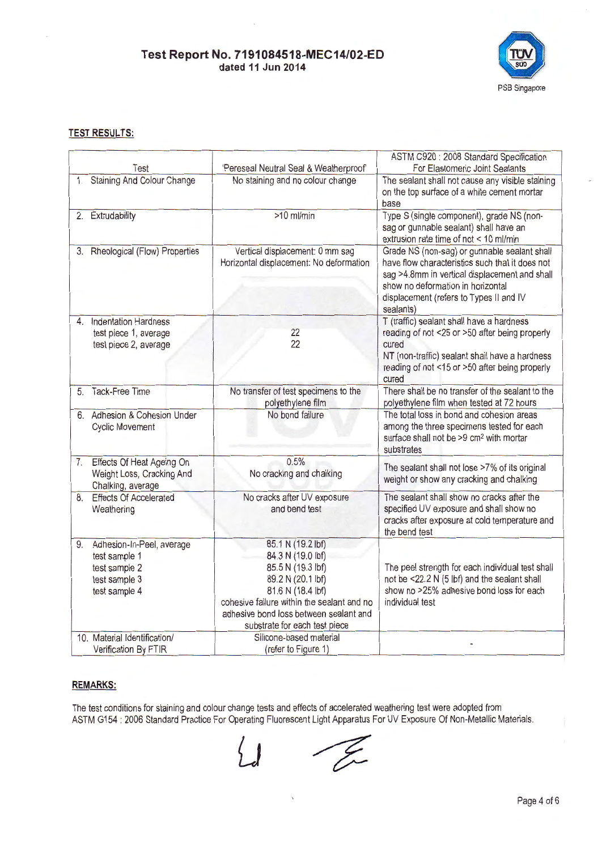

## **TEST RESULTS:**

|    |                                                                                               |                                                                                                                                                                                                                                | ASTM C920 : 2008 Standard Specification                                                                                                                                                                                                       |
|----|-----------------------------------------------------------------------------------------------|--------------------------------------------------------------------------------------------------------------------------------------------------------------------------------------------------------------------------------|-----------------------------------------------------------------------------------------------------------------------------------------------------------------------------------------------------------------------------------------------|
|    | Test                                                                                          | 'Pereseal Neutral Seal & Weatherproof'                                                                                                                                                                                         | For Elastomeric Joint Sealants                                                                                                                                                                                                                |
|    | 1. Staining And Colour Change                                                                 | No staining and no colour change                                                                                                                                                                                               | The sealant shall not cause any visible staining<br>on the top surface of a white cement mortar<br>base                                                                                                                                       |
|    | 2. Extrudability                                                                              | $>10$ ml/min                                                                                                                                                                                                                   | Type S (single component), grade NS (non-<br>sag or gunnable sealant) shall have an<br>extrusion rate time of not < 10 ml/min                                                                                                                 |
|    | 3. Rheological (Flow) Properties                                                              | Vertical displacement: 0 mm sag<br>Horizontal displacement: No deformation                                                                                                                                                     | Grade NS (non-sag) or gunnable sealant shall<br>have flow characteristics such that it does not<br>sag >4.8mm in vertical displacement and shall<br>show no deformation in horizontal<br>displacement (refers to Types II and IV<br>sealants) |
|    | 4. Indentation Hardness<br>test piece 1, average<br>test piece 2, average                     | 22<br>22                                                                                                                                                                                                                       | T (traffic) sealant shall have a hardness<br>reading of not <25 or >50 after being properly<br>cured<br>NT (non-traffic) sealant shall have a hardness<br>reading of not <15 or >50 after being properly<br>cured                             |
|    | 5. Tack-Free Time                                                                             | No transfer of test specimens to the<br>polyethylene film                                                                                                                                                                      | There shall be no transfer of the sealant to the<br>polyethylene film when tested at 72 hours                                                                                                                                                 |
|    | 6. Adhesion & Cohesion Under<br><b>Cyclic Movement</b>                                        | No bond failure                                                                                                                                                                                                                | The total loss in bond and cohesion areas<br>among the three specimens tested for each<br>surface shall not be >9 cm <sup>2</sup> with mortar<br>substrates                                                                                   |
| 7. | Effects Of Heat Ageing On<br>Weight Loss, Cracking And<br>Chalking, average                   | 0.5%<br>No cracking and chalking                                                                                                                                                                                               | The sealant shall not lose >7% of its original<br>weight or show any cracking and chalking                                                                                                                                                    |
| 8. | <b>Effects Of Accelerated</b><br>Weathering                                                   | No cracks after UV exposure<br>and bend test                                                                                                                                                                                   | The sealant shall show no cracks after the<br>specified UV exposure and shall show no<br>cracks after exposure at cold temperature and<br>the bend test                                                                                       |
| 9. | Adhesion-In-Peel, average<br>test sample 1<br>test sample 2<br>test sample 3<br>test sample 4 | 85.1 N (19.2 lbf)<br>84.3 N (19.0 lbf)<br>85.5 N (19.3 lbf)<br>89.2 N (20.1 lbf)<br>81.6 N (18.4 lbf)<br>cohesive failure within the sealant and no<br>adhesive bond loss between sealant and<br>substrate for each test piece | The peel strength for each individual test shall<br>not be <22.2 N (5 lbf) and the sealant shall<br>show no >25% adhesive bond loss for each<br>individual test                                                                               |
|    | 10. Material Identification/<br>Verification By FTIR                                          | Silicone-based material<br>(refer to Figure 1)                                                                                                                                                                                 |                                                                                                                                                                                                                                               |

## **REMARKS:**

The test conditions for staining and colour change tests and effects of accelerated weathering test were adopted from ASTM G154 : 2006 Standard Practice For Operating Fluorescent Light Apparatus For UV Exposure Of Non-Metallic Materials.

-E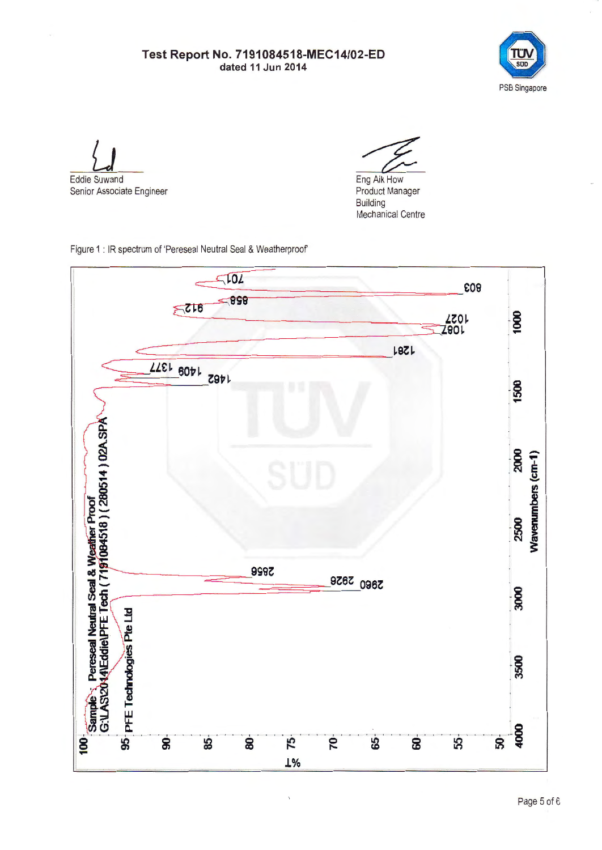

Eddie Suwand

Senior Associate Engineer

Eng Aik How

Product Manager Building Mechanical Centre

Figure 1 : IR spectrum of 'Pereseal Neutral Seal & Weatherproof